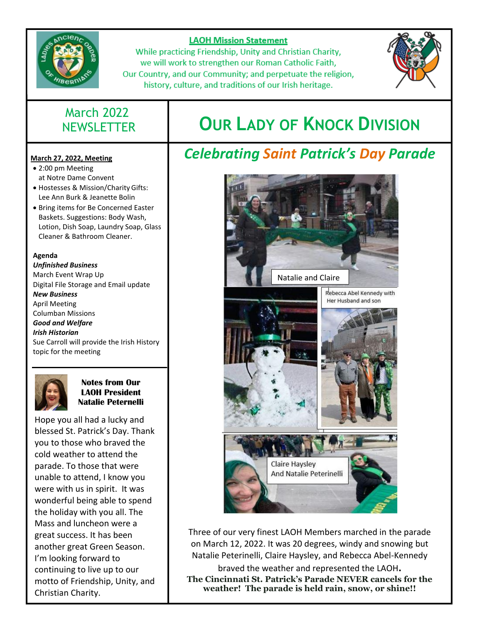

### **LAOH Mission Statement**

While practicing Friendship, Unity and Christian Charity, we will work to strengthen our Roman Catholic Faith, Our Country, and our Community; and perpetuate the religion, history, culture, and traditions of our Irish heritage.



### **March 27, 2022, Meeting**

- 2:00 pm Meeting at Notre Dame Convent
- Hostesses & Mission/Charity Gifts: Lee Ann Burk & Jeanette Bolin
- Bring items for Be Concerned Easter Baskets. Suggestions: Body Wash, Lotion, Dish Soap, Laundry Soap, Glass Cleaner & Bathroom Cleaner.

#### **Agenda**

*Unfinished Business* March Event Wrap Up Digital File Storage and Email update *New Business* April Meeting Columban Missions *Good and Welfare Irish Historian* Sue Carroll will provide the Irish History topic for the meeting



### **Notes from Our LAOH President Natalie Peternelli**

Hope you all had a lucky and blessed St. Patrick's Day. Thank you to those who braved the cold weather to attend the parade. To those that were unable to attend, I know you were with us in spirit. It was wonderful being able to spend the holiday with you all. The Mass and luncheon were a great success. It has been another great Green Season. I'm looking forward to continuing to live up to our motto of Friendship, Unity, and Christian Charity.

# NEWSLETTER **OUR LADY OF KNOCK DIVISION**

# *Celebrating Saint Patrick's Day Parade*



Three of our very finest LAOH Members marched in the parade on March 12, 2022. It was 20 degrees, windy and snowing but Natalie Peterinelli, Claire Haysley, and Rebecca Abel-Kennedy

braved the weather and represented the LAOH**. The Cincinnati St. Patrick's Parade NEVER cancels for the weather! The parade is held rain, snow, or shine!!**